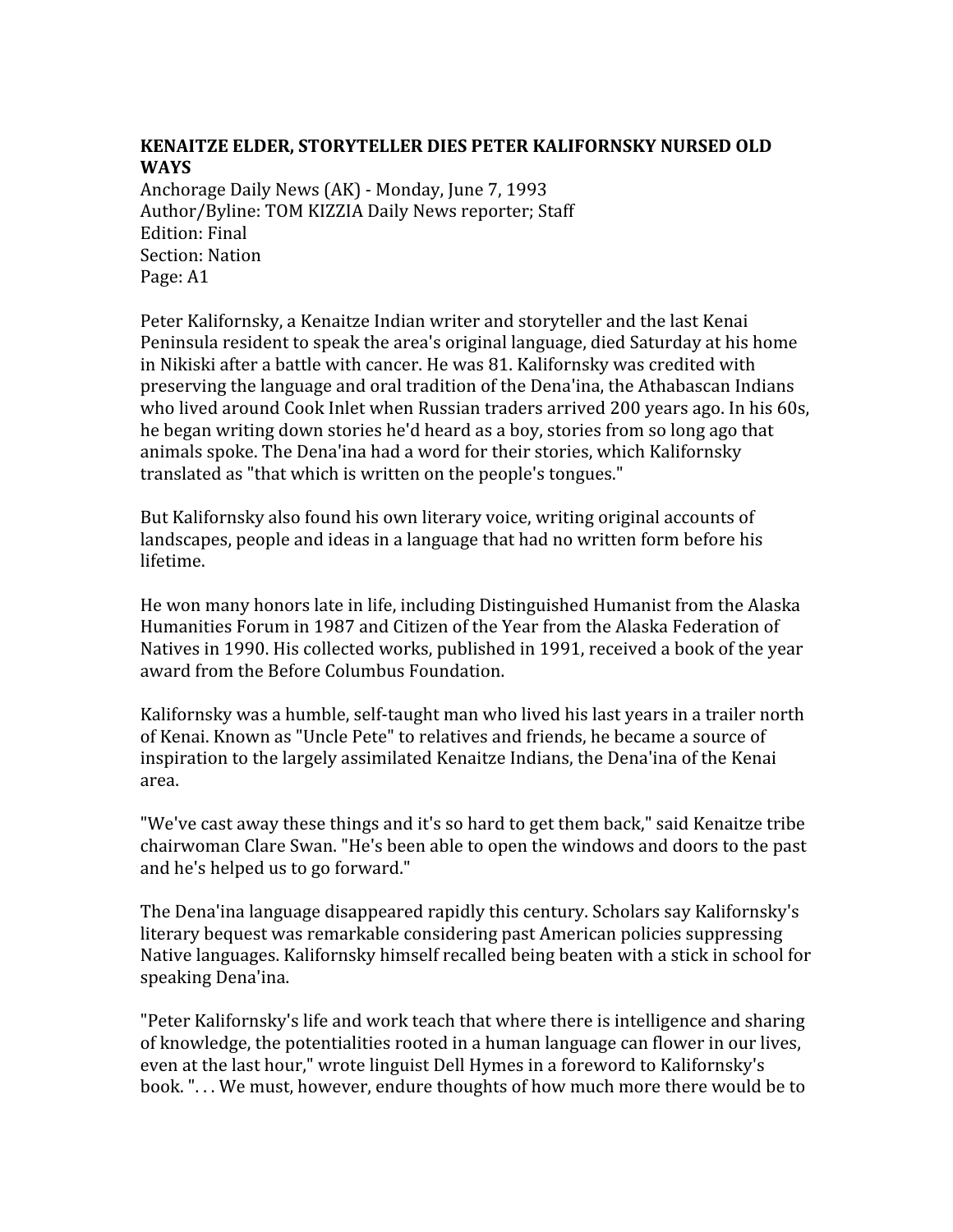## **KENAITZE
ELDER,
STORYTELLER
DIES
PETER
KALIFORNSKY
NURSED
OLD WAYS**

Anchorage
Daily
News
(AK)
‐
Monday,
June
7,
1993 Author/Byline:
TOM
KIZZIA
Daily
News
reporter;
Staff Edition:
Final Section:
Nation Page:
A1

Peter Kalifornsky, a Kenaitze Indian writer and storyteller and the last Kenai Peninsula resident to speak the area's original language, died Saturday at his home in Nikiski after a battle with cancer. He was 81. Kalifornsky was credited with preserving
the
language
and
oral
tradition
of
the
Dena'ina,
the
Athabascan
Indians who lived around Cook Inlet when Russian traders arrived 200 years ago. In his 60s, he began writing down stories he'd heard as a boy, stories from so long ago that animals
spoke.
The
Dena'ina
had
a
word
for
their
stories,
which
Kalifornsky translated
as
"that
which
is
written
on
the
people's
tongues."

But Kalifornsky also found his own literary voice, writing original accounts of landscapes, people and ideas in a language that had no written form before his lifetime.

He won many honors late in life, including Distinguished Humanist from the Alaska Humanities
Forum
in
1987
and
Citizen
of
the
Year
from
the
Alaska
Federation
of Natives in 1990. His collected works, published in 1991, received a book of the year award
from
the
Before
Columbus
Foundation.

Kalifornsky was a humble, self-taught man who lived his last years in a trailer north of
Kenai.
Known
as
"Uncle
Pete"
to
relatives
and
friends,
he
became
a
source
of inspiration to the largely assimilated Kenaitze Indians, the Dena'ina of the Kenai area.

"We've cast away these things and it's so hard to get them back," said Kenaitze tribe chairwoman
Clare
Swan.
"He's
been
able
to
open
the
windows
and
doors
to
the
past and
he's
helped
us
to
go
forward."

The
Dena'ina
language
disappeared
rapidly
this
century.
Scholars
say
Kalifornsky's literary bequest was remarkable considering past American policies suppressing Native
languages.
Kalifornsky
himself
recalled
being
beaten
with
a
stick
in
school
for speaking
Dena'ina.

"Peter Kalifornsky's life and work teach that where there is intelligence and sharing of
knowledge,
the
potentialities
rooted
in
a
human
language
can
flower
in
our
lives, even
at
the
last
hour,"
wrote
linguist
Dell
Hymes
in
a
foreword
to
Kalifornsky's book.
".
.
.
We
must,
however,
endure
thoughts
of
how
much
more
there
would
be
to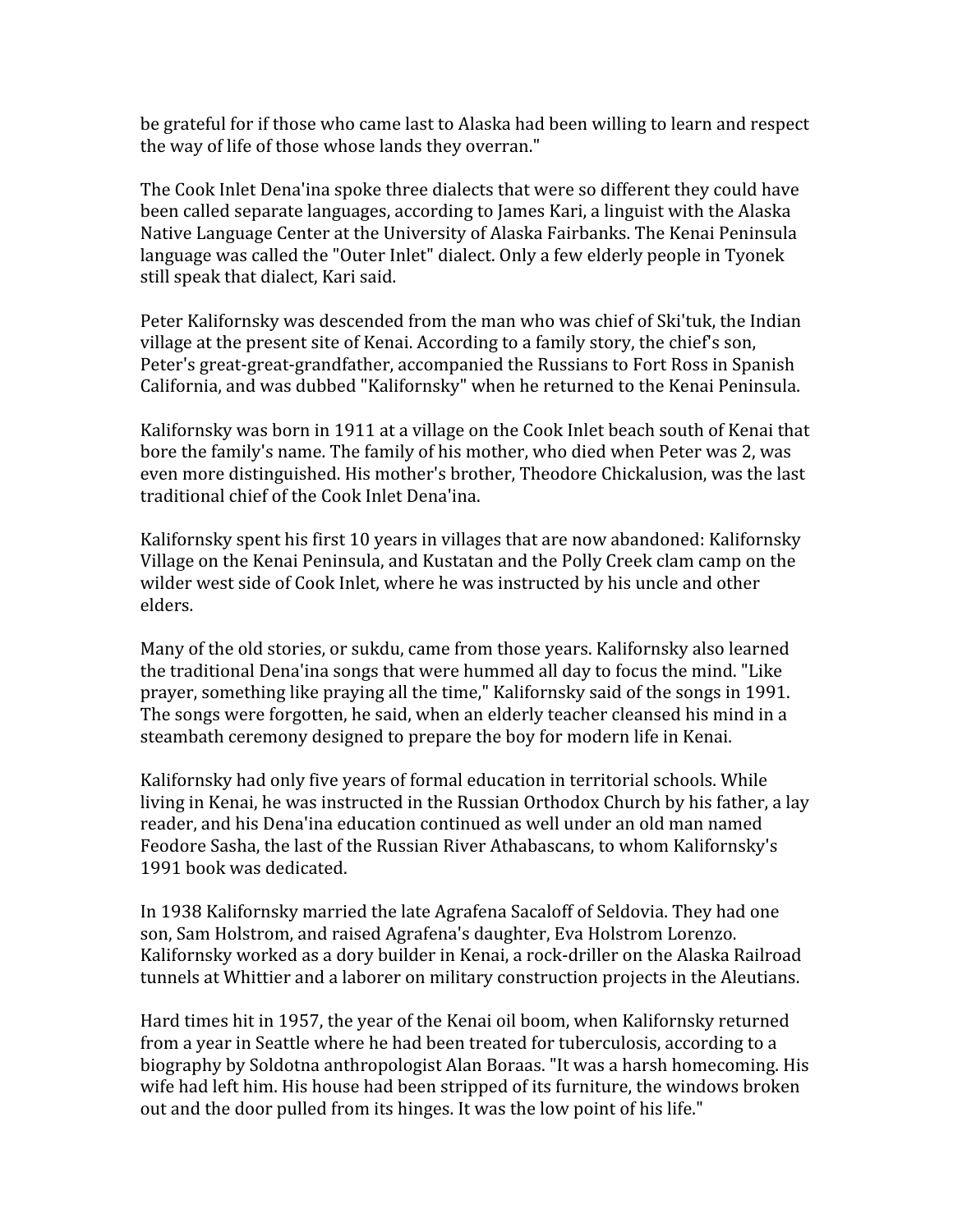be
grateful
for
if
those
who
came
last
to
Alaska
had
been
willing
to
learn
and
respect the way of life of those whose lands they overran."

The Cook Inlet Dena'ina spoke three dialects that were so different they could have been
called
separate
languages,
according
to
James
Kari,
a
linguist
with
the
Alaska Native Language Center at the University of Alaska Fairbanks. The Kenai Peninsula language was called the "Outer Inlet" dialect. Only a few elderly people in Tvonek still
speak
that
dialect,
Kari
said.

Peter Kalifornsky was descended from the man who was chief of Ski'tuk, the Indian village at the present site of Kenai. According to a family story, the chief's son, Peter's
great‐great‐grandfather,
accompanied
the
Russians
to
Fort
Ross
in
Spanish California, and was dubbed "Kalifornsky" when he returned to the Kenai Peninsula.

Kalifornsky was born in 1911 at a village on the Cook Inlet beach south of Kenai that bore the family's name. The family of his mother, who died when Peter was 2, was even more distinguished. His mother's brother, Theodore Chickalusion, was the last traditional
chief
of
the
Cook
Inlet
Dena'ina.

Kalifornsky spent his first 10 years in villages that are now abandoned: Kalifornsky Village on the Kenai Peninsula, and Kustatan and the Polly Creek clam camp on the wilder west side of Cook Inlet, where he was instructed by his uncle and other elders.

Many
of
the
old
stories,
or
sukdu,
came
from
those
years.
Kalifornsky
also
learned the
traditional
Dena'ina
songs
that
were
hummed
all
day
to
focus
the
mind.
"Like prayer, something like praying all the time," Kalifornsky said of the songs in 1991. The songs were forgotten, he said, when an elderly teacher cleansed his mind in a steambath
ceremony
designed
to
prepare
the
boy
for
modern
life
in
Kenai.

Kalifornsky
had
only
five
years
of
formal
education
in
territorial
schools.
While living in Kenai, he was instructed in the Russian Orthodox Church by his father, a lay reader, and his Dena'ina education continued as well under an old man named Feodore Sasha, the last of the Russian River Athabascans, to whom Kalifornsky's 1991
book
was
dedicated.

In
1938
Kalifornsky
married
the
late
Agrafena
Sacaloff
of
Seldovia.
They
had
one son,
Sam
Holstrom,
and
raised
Agrafena's
daughter,
Eva
Holstrom
Lorenzo. Kalifornsky worked as a dory builder in Kenai, a rock-driller on the Alaska Railroad tunnels
at
Whittier
and
a
laborer
on
military
construction
projects
in
the
Aleutians.

Hard times hit in 1957, the year of the Kenai oil boom, when Kalifornsky returned from
a
year
in
Seattle
where
he
had
been
treated
for
tuberculosis,
according
to
a biography
by
Soldotna
anthropologist
Alan
Boraas.
"It
was
a
harsh
homecoming.
His wife had left him. His house had been stripped of its furniture, the windows broken out and the door pulled from its hinges. It was the low point of his life."